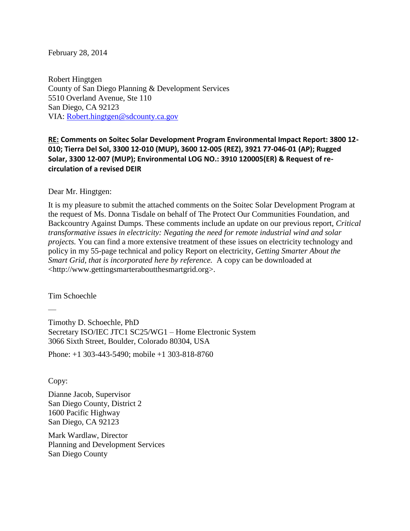#### February 28, 2014

Robert Hingtgen County of San Diego Planning & Development Services 5510 Overland Avenue, Ste 110 San Diego, CA 92123 VIA: [Robert.hingtgen@sdcounty.ca.gov](mailto:Robert.hingtgen@sdcounty.ca.gov)

# **RE: Comments on Soitec Solar Development Program Environmental Impact Report: 3800 12- 010; Tierra Del Sol, 3300 12-010 (MUP), 3600 12-005 (REZ), 3921 77-046-01 (AP); Rugged Solar, 3300 12-007 (MUP); Environmental LOG NO.: 3910 120005(ER) & Request of recirculation of a revised DEIR**

Dear Mr. Hingtgen:

It is my pleasure to submit the attached comments on the Soitec Solar Development Program at the request of Ms. Donna Tisdale on behalf of The Protect Our Communities Foundation, and Backcountry Against Dumps. These comments include an update on our previous report, *Critical transformative issues in electricity: Negating the need for remote industrial wind and solar projects.* You can find a more extensive treatment of these issues on electricity technology and policy in my 55-page technical and policy Report on electricity, *Getting Smarter About the Smart Grid, that is incorporated here by reference.* A copy can be downloaded at <http://www.gettingsmarteraboutthesmartgrid.org>.

Tim Schoechle

—

Timothy D. Schoechle, PhD Secretary ISO/IEC JTC1 SC25/WG1 – Home Electronic System 3066 Sixth Street, Boulder, Colorado 80304, USA

Phone: +1 303-443-5490; mobile +1 303-818-8760

Copy:

Dianne Jacob, Supervisor San Diego County, District 2 1600 Pacific Highway San Diego, CA 92123

Mark Wardlaw, Director Planning and Development Services San Diego County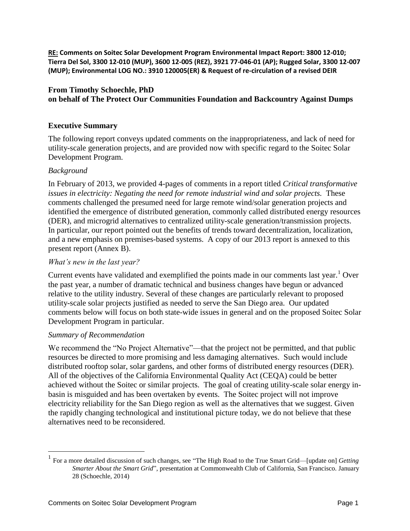**RE: Comments on Soitec Solar Development Program Environmental Impact Report: 3800 12-010; Tierra Del Sol, 3300 12-010 (MUP), 3600 12-005 (REZ), 3921 77-046-01 (AP); Rugged Solar, 3300 12-007 (MUP); Environmental LOG NO.: 3910 120005(ER) & Request of re-circulation of a revised DEIR**

# **From Timothy Schoechle, PhD on behalf of The Protect Our Communities Foundation and Backcountry Against Dumps**

## **Executive Summary**

The following report conveys updated comments on the inappropriateness, and lack of need for utility-scale generation projects, and are provided now with specific regard to the Soitec Solar Development Program.

### *Background*

In February of 2013, we provided 4-pages of comments in a report titled *Critical transformative issues in electricity: Negating the need for remote industrial wind and solar projects.* These comments challenged the presumed need for large remote wind/solar generation projects and identified the emergence of distributed generation, commonly called distributed energy resources (DER), and microgrid alternatives to centralized utility-scale generation/transmission projects. In particular, our report pointed out the benefits of trends toward decentralization, localization, and a new emphasis on premises-based systems. A copy of our 2013 report is annexed to this present report (Annex B).

#### *What's new in the last year?*

Current events have validated and exemplified the points made in our comments last year.<sup>1</sup> Over the past year, a number of dramatic technical and business changes have begun or advanced relative to the utility industry. Several of these changes are particularly relevant to proposed utility-scale solar projects justified as needed to serve the San Diego area. Our updated comments below will focus on both state-wide issues in general and on the proposed Soitec Solar Development Program in particular.

#### *Summary of Recommendation*

 $\overline{a}$ 

We recommend the "No Project Alternative"—that the project not be permitted, and that public resources be directed to more promising and less damaging alternatives. Such would include distributed rooftop solar, solar gardens, and other forms of distributed energy resources (DER). All of the objectives of the California Environmental Quality Act (CEQA) could be better achieved without the Soitec or similar projects. The goal of creating utility-scale solar energy inbasin is misguided and has been overtaken by events. The Soitec project will not improve electricity reliability for the San Diego region as well as the alternatives that we suggest. Given the rapidly changing technological and institutional picture today, we do not believe that these alternatives need to be reconsidered.

<sup>1</sup> For a more detailed discussion of such changes, see "The High Road to the True Smart Grid—[update on] *Getting Smarter About the Smart Grid*"*,* presentation at Commonwealth Club of California, San Francisco. January 28 (Schoechle, 2014)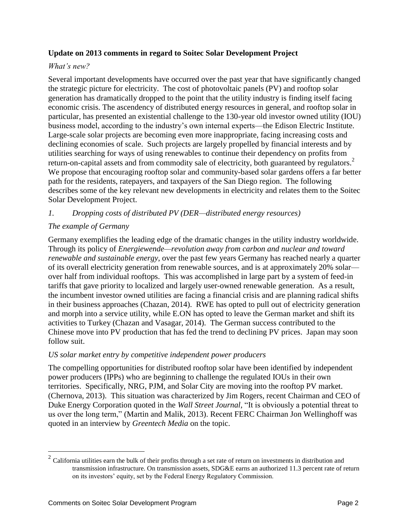### **Update on 2013 comments in regard to Soitec Solar Development Project**

### *What's new?*

Several important developments have occurred over the past year that have significantly changed the strategic picture for electricity. The cost of photovoltaic panels (PV) and rooftop solar generation has dramatically dropped to the point that the utility industry is finding itself facing economic crisis. The ascendency of distributed energy resources in general, and rooftop solar in particular, has presented an existential challenge to the 130-year old investor owned utility (IOU) business model, according to the industry's own internal experts—the Edison Electric Institute. Large-scale solar projects are becoming even more inappropriate, facing increasing costs and declining economies of scale. Such projects are largely propelled by financial interests and by utilities searching for ways of using renewables to continue their dependency on profits from return-on-capital assets and from commodity sale of electricity, both guaranteed by regulators.<sup>2</sup> We propose that encouraging rooftop solar and community-based solar gardens offers a far better path for the residents, ratepayers, and taxpayers of the San Diego region. The following describes some of the key relevant new developments in electricity and relates them to the Soitec Solar Development Project.

#### *1. Dropping costs of distributed PV (DER—distributed energy resources)*

### *The example of Germany*

Germany exemplifies the leading edge of the dramatic changes in the utility industry worldwide. Through its policy of *Energiewende—revolution away from carbon and nuclear and toward renewable and sustainable energy*, over the past few years Germany has reached nearly a quarter of its overall electricity generation from renewable sources, and is at approximately 20% solar over half from individual rooftops. This was accomplished in large part by a system of feed-in tariffs that gave priority to localized and largely user-owned renewable generation. As a result, the incumbent investor owned utilities are facing a financial crisis and are planning radical shifts in their business approaches (Chazan, 2014). RWE has opted to pull out of electricity generation and morph into a service utility, while E.ON has opted to leave the German market and shift its activities to Turkey (Chazan and Vasagar, 2014). The German success contributed to the Chinese move into PV production that has fed the trend to declining PV prices. Japan may soon follow suit.

#### *US solar market entry by competitive independent power producers*

The compelling opportunities for distributed rooftop solar have been identified by independent power producers (IPPs) who are beginning to challenge the regulated IOUs in their own territories. Specifically, NRG, PJM, and Solar City are moving into the rooftop PV market. (Chernova, 2013). This situation was characterized by Jim Rogers, recent Chairman and CEO of Duke Energy Corporation quoted in the *Wall Street Journal*, "It is obviously a potential threat to us over the long term," (Martin and Malik, 2013). Recent FERC Chairman Jon Wellinghoff was quoted in an interview by *Greentech Media* on the topic.

 $\overline{a}$ 

<sup>&</sup>lt;sup>2</sup> California utilities earn the bulk of their profits through a set rate of return on investments in distribution and transmission infrastructure. On transmission assets, SDG&E earns an authorized 11.3 percent rate of return on its investors' equity, set by the Federal Energy Regulatory Commission.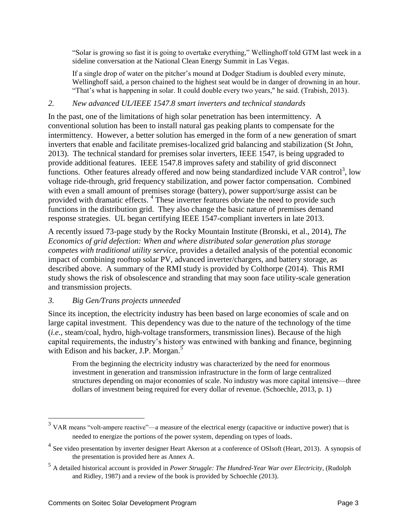"Solar is growing so fast it is going to overtake everything," Wellinghoff told GTM last week in a sideline conversation at the National Clean Energy Summit in Las Vegas.

If a single drop of water on the pitcher's mound at Dodger Stadium is doubled every minute, Wellinghoff said, a person chained to the highest seat would be in danger of drowning in an hour. "That's what is happening in solar. It could double every two years," he said. (Trabish, 2013).

### *2. New advanced UL/IEEE 1547.8 smart inverters and technical standards*

In the past, one of the limitations of high solar penetration has been intermittency. A conventional solution has been to install natural gas peaking plants to compensate for the intermittency. However, a better solution has emerged in the form of a new generation of smart inverters that enable and facilitate premises-localized grid balancing and stabilization (St John, 2013). The technical standard for premises solar inverters, IEEE 1547, is being upgraded to provide additional features. IEEE 1547.8 improves safety and stability of grid disconnect functions. Other features already offered and now being standardized include VAR control<sup>3</sup>, low voltage ride-through, grid frequency stabilization, and power factor compensation. Combined with even a small amount of premises storage (battery), power support/surge assist can be provided with dramatic effects.<sup>4</sup> These inverter features obviate the need to provide such functions in the distribution grid. They also change the basic nature of premises demand response strategies. UL began certifying IEEE 1547-compliant inverters in late 2013.

A recently issued 73-page study by the Rocky Mountain Institute (Bronski, et al., 2014), *The Economics of grid defection: When and where distributed solar generation plus storage competes with traditional utility service*, provides a detailed analysis of the potential economic impact of combining rooftop solar PV, advanced inverter/chargers, and battery storage, as described above. A summary of the RMI study is provided by Colthorpe (2014). This RMI study shows the risk of obsolescence and stranding that may soon face utility-scale generation and transmission projects.

# *3. Big Gen/Trans projects unneeded*

Since its inception, the electricity industry has been based on large economies of scale and on large capital investment. This dependency was due to the nature of the technology of the time (*i.e.*, steam/coal, hydro, high-voltage transformers, transmission lines). Because of the high capital requirements, the industry's history was entwined with banking and finance, beginning with Edison and his backer, J.P. Morgan.<sup>5</sup>

From the beginning the electricity industry was characterized by the need for enormous investment in generation and transmission infrastructure in the form of large centralized structures depending on major economies of scale. No industry was more capital intensive—three dollars of investment being required for every dollar of revenue. (Schoechle, 2013, p. 1)

<sup>&</sup>lt;sup>3</sup> VAR means "volt-ampere reactive"—a measure of the electrical energy (capacitive or inductive power) that is needed to energize the portions of the power system, depending on types of loads.

<sup>&</sup>lt;sup>4</sup> See video presentation by inverter designer Heart Akerson at a conference of OSIsoft (Heart, 2013). A synopsis of the presentation is provided here as Annex A.

<sup>5</sup> A detailed historical account is provided in *Power Struggle: The Hundred-Year War over Electricity*, (Rudolph and Ridley, 1987) and a review of the book is provided by Schoechle (2013).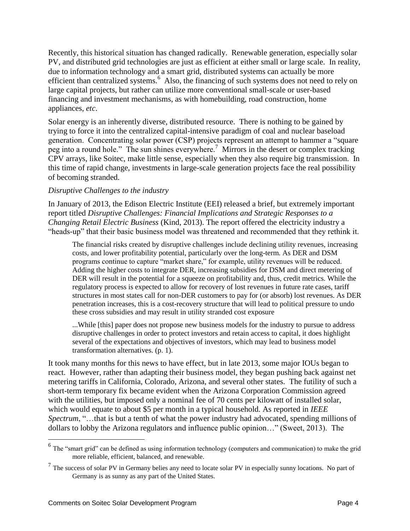Recently, this historical situation has changed radically. Renewable generation, especially solar PV, and distributed grid technologies are just as efficient at either small or large scale. In reality, due to information technology and a smart grid, distributed systems can actually be more efficient than centralized systems.<sup>6</sup> Also, the financing of such systems does not need to rely on large capital projects, but rather can utilize more conventional small-scale or user-based financing and investment mechanisms, as with homebuilding, road construction, home appliances, *etc*.

Solar energy is an inherently diverse, distributed resource. There is nothing to be gained by trying to force it into the centralized capital-intensive paradigm of coal and nuclear baseload generation. Concentrating solar power (CSP) projects represent an attempt to hammer a "square  $\frac{1}{2}$  peg into a round hole." The sun shines everywhere.<sup>7</sup> Mirrors in the desert or complex tracking CPV arrays, like Soitec, make little sense, especially when they also require big transmission. In this time of rapid change, investments in large-scale generation projects face the real possibility of becoming stranded.

### *Disruptive Challenges to the industry*

In January of 2013, the Edison Electric Institute (EEI) released a brief, but extremely important report titled *Disruptive Challenges: Financial Implications and Strategic Responses to a Changing Retail Electric Business* (Kind, 2013). The report offered the electricity industry a "heads-up" that their basic business model was threatened and recommended that they rethink it.

The financial risks created by disruptive challenges include declining utility revenues, increasing costs, and lower profitability potential, particularly over the long-term. As DER and DSM programs continue to capture "market share," for example, utility revenues will be reduced. Adding the higher costs to integrate DER, increasing subsidies for DSM and direct metering of DER will result in the potential for a squeeze on profitability and, thus, credit metrics. While the regulatory process is expected to allow for recovery of lost revenues in future rate cases, tariff structures in most states call for non-DER customers to pay for (or absorb) lost revenues. As DER penetration increases, this is a cost-recovery structure that will lead to political pressure to undo these cross subsidies and may result in utility stranded cost exposure

...While [this] paper does not propose new business models for the industry to pursue to address disruptive challenges in order to protect investors and retain access to capital, it does highlight several of the expectations and objectives of investors, which may lead to business model transformation alternatives. (p. 1).

It took many months for this news to have effect, but in late 2013, some major IOUs began to react. However, rather than adapting their business model, they began pushing back against net metering tariffs in California, Colorado, Arizona, and several other states. The futility of such a short-term temporary fix became evident when the Arizona Corporation Commission agreed with the utilities, but imposed only a nominal fee of 70 cents per kilowatt of installed solar, which would equate to about \$5 per month in a typical household. As reported in *IEEE Spectrum*, "…that is but a tenth of what the power industry had advocated, spending millions of dollars to lobby the Arizona regulators and influence public opinion…" (Sweet, 2013). The

<sup>&</sup>lt;sup>6</sup> The "smart grid" can be defined as using information technology (computers and communication) to make the grid more reliable, efficient, balanced, and renewable.

 $<sup>7</sup>$  The success of solar PV in Germany belies any need to locate solar PV in especially sunny locations. No part of</sup> Germany is as sunny as any part of the United States.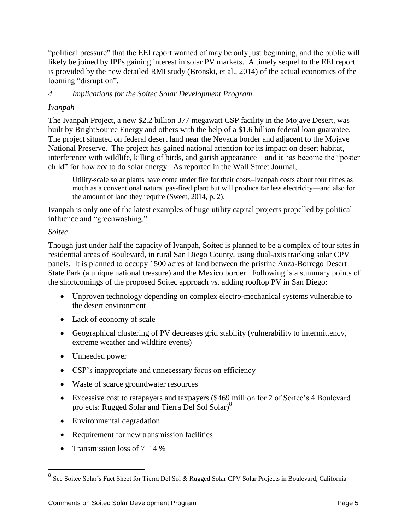"political pressure" that the EEI report warned of may be only just beginning, and the public will likely be joined by IPPs gaining interest in solar PV markets. A timely sequel to the EEI report is provided by the new detailed RMI study (Bronski, et al., 2014) of the actual economics of the looming "disruption".

# *4. Implications for the Soitec Solar Development Program*

# *Ivanpah*

The Ivanpah Project, a new \$2.2 billion 377 megawatt CSP facility in the Mojave Desert, was built by BrightSource Energy and others with the help of a \$1.6 billion federal loan guarantee. The project situated on federal desert land near the Nevada border and adjacent to the Mojave National Preserve. The project has gained national attention for its impact on desert habitat, interference with wildlife, killing of birds, and garish appearance—and it has become the "poster child" for how *not* to do solar energy. As reported in the Wall Street Journal,

Utility-scale solar plants have come under fire for their costs–Ivanpah costs about four times as much as a conventional natural gas-fired plant but will produce far less electricity—and also for the amount of land they require (Sweet, 2014, p. 2).

Ivanpah is only one of the latest examples of huge utility capital projects propelled by political influence and "greenwashing."

# *Soitec*

Though just under half the capacity of Ivanpah, Soitec is planned to be a complex of four sites in residential areas of Boulevard, in rural San Diego County, using dual-axis tracking solar CPV panels. It is planned to occupy 1500 acres of land between the pristine Anza-Borrego Desert State Park (a unique national treasure) and the Mexico border. Following is a summary points of the shortcomings of the proposed Soitec approach *vs*. adding rooftop PV in San Diego:

- Unproven technology depending on complex electro-mechanical systems vulnerable to the desert environment
- Lack of economy of scale
- Geographical clustering of PV decreases grid stability (vulnerability to intermittency, extreme weather and wildfire events)
- Unneeded power
- CSP's inappropriate and unnecessary focus on efficiency
- Waste of scarce groundwater resources
- Excessive cost to ratepayers and taxpayers (\$469 million for 2 of Soitec's 4 Boulevard projects: Rugged Solar and Tierra Del Sol Solar)<sup>8</sup>
- Environmental degradation
- Requirement for new transmission facilities
- Transmission loss of  $7-14%$

<sup>8&</sup>lt;br>8 See Soitec Solar's Fact Sheet for Tierra Del Sol & Rugged Solar CPV Solar Projects in Boulevard, California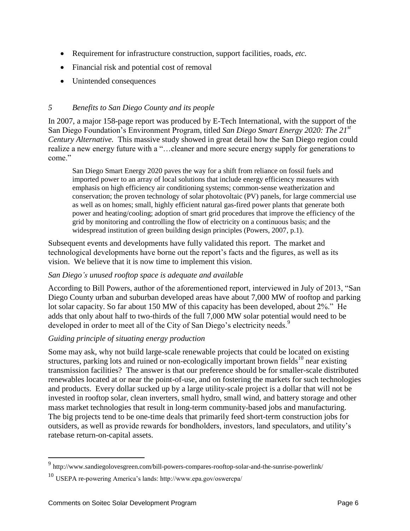- Requirement for infrastructure construction, support facilities, roads, *etc.*
- Financial risk and potential cost of removal
- Unintended consequences

# *5 Benefits to San Diego County and its people*

In 2007, a major 158-page report was produced by E-Tech International, with the support of the San Diego Foundation's Environment Program, titled *San Diego Smart Energy 2020: The 21st Century Alternative.* This massive study showed in great detail how the San Diego region could realize a new energy future with a "…cleaner and more secure energy supply for generations to come"

San Diego Smart Energy 2020 paves the way for a shift from reliance on fossil fuels and imported power to an array of local solutions that include energy efficiency measures with emphasis on high efficiency air conditioning systems; common-sense weatherization and conservation; the proven technology of solar photovoltaic (PV) panels, for large commercial use as well as on homes; small, highly efficient natural gas-fired power plants that generate both power and heating/cooling; adoption of smart grid procedures that improve the efficiency of the grid by monitoring and controlling the flow of electricity on a continuous basis; and the widespread institution of green building design principles (Powers, 2007, p.1).

Subsequent events and developments have fully validated this report. The market and technological developments have borne out the report's facts and the figures, as well as its vision. We believe that it is now time to implement this vision.

# *San Diego's unused rooftop space is adequate and available*

According to Bill Powers, author of the aforementioned report, interviewed in July of 2013, "San Diego County urban and suburban developed areas have about 7,000 MW of rooftop and parking lot solar capacity. So far about 150 MW of this capacity has been developed, about 2%." He adds that only about half to two-thirds of the full 7,000 MW solar potential would need to be developed in order to meet all of the City of San Diego's electricity needs.<sup>9</sup>

# *Guiding principle of situating energy production*

Some may ask, why not build large-scale renewable projects that could be located on existing structures, parking lots and ruined or non-ecologically important brown fields<sup>10</sup> near existing transmission facilities? The answer is that our preference should be for smaller-scale distributed renewables located at or near the point-of-use, and on fostering the markets for such technologies and products. Every dollar sucked up by a large utility-scale project is a dollar that will not be invested in rooftop solar, clean inverters, small hydro, small wind, and battery storage and other mass market technologies that result in long-term community-based jobs and manufacturing. The big projects tend to be one-time deals that primarily feed short-term construction jobs for outsiders, as well as provide rewards for bondholders, investors, land speculators, and utility's ratebase return-on-capital assets.

 9 http://www.sandiegolovesgreen.com/bill-powers-compares-rooftop-solar-and-the-sunrise-powerlink/

<sup>10</sup> USEPA re-powering America's lands: http://www.epa.gov/oswercpa/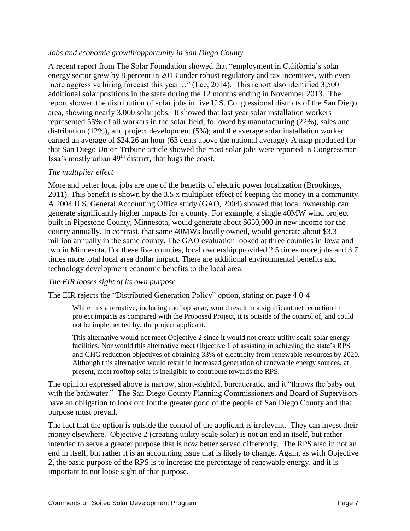### *Jobs and economic growth/opportunity in San Diego County*

A recent report from The Solar Foundation showed that "employment in California's solar energy sector grew by 8 percent in 2013 under robust regulatory and tax incentives, with even more aggressive hiring forecast this year…" (Lee, 2014). This report also identified 3,500 additional solar positions in the state during the 12 months ending in November 2013. The report showed the distribution of solar jobs in five U.S. Congressional districts of the San Diego area, showing nearly 3,000 solar jobs. It showed that last year solar installation workers represented 55% of all workers in the solar field, followed by manufacturing (22%), sales and distribution (12%), and project development (5%); and the average solar installation worker earned an average of \$24.26 an hour (63 cents above the national average). A map produced for that San Diego Union Tribune article showed the most solar jobs were reported in Congressman Issa's mostly urban  $49<sup>th</sup>$  district, that hugs the coast.

### *The multiplier effect*

More and better local jobs are one of the benefits of electric power localization (Brookings, 2011). This benefit is shown by the 3.5 x multiplier effect of keeping the money in a community. A 2004 U.S. General Accounting Office study (GAO, 2004) showed that local ownership can generate significantly higher impacts for a county. For example, a single 40MW wind project built in Pipestone County, Minnesota, would generate about \$650,000 in new income for the county annually. In contrast, that same 40MWs locally owned, would generate about \$3.3 million annually in the same county. The GAO evaluation looked at three counties in Iowa and two in Minnesota. For these five counties, local ownership provided 2.5 times more jobs and 3.7 times more total local area dollar impact. There are additional environmental benefits and technology development economic benefits to the local area.

#### *The EIR looses sight of its own purpose*

The EIR rejects the "Distributed Generation Policy" option, stating on page 4.0-4

While this alternative, including rooftop solar, would result in a significant net reduction in project impacts as compared with the Proposed Project, it is outside of the control of, and could not be implemented by, the project applicant.

This alternative would not meet Objective 2 since it would not create utility scale solar energy facilities. Nor would this alternative meet Objective 1 of assisting in achieving the state's RPS and GHG reduction objectives of obtaining 33% of electricity from renewable resources by 2020. Although this alternative would result in increased generation of renewable energy sources, at present, most rooftop solar is ineligible to contribute towards the RPS.

The opinion expressed above is narrow, short-sighted, bureaucratic, and it "throws the baby out with the bathwater." The San Diego County Planning Commissioners and Board of Supervisors have an obligation to look out for the greater good of the people of San Diego County and that purpose must prevail.

The fact that the option is outside the control of the applicant is irrelevant. They can invest their money elsewhere. Objective 2 (creating utility-scale solar) is not an end in itself, but rather intended to serve a greater purpose that is now better served differently. The RPS also in not an end in itself, but rather it is an accounting issue that is likely to change. Again, as with Objective 2, the basic purpose of the RPS is to increase the percentage of renewable energy, and it is important to not loose sight of that purpose.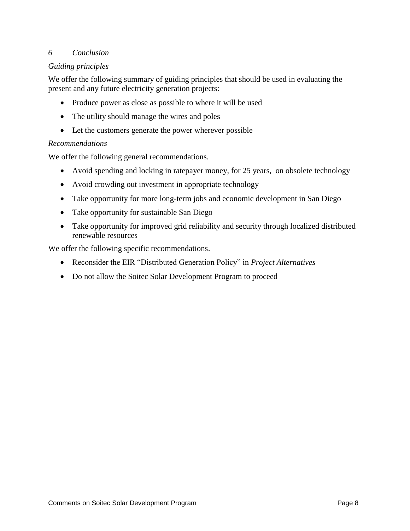### *6 Conclusion*

### *Guiding principles*

We offer the following summary of guiding principles that should be used in evaluating the present and any future electricity generation projects:

- Produce power as close as possible to where it will be used
- The utility should manage the wires and poles
- Let the customers generate the power wherever possible

#### *Recommendations*

We offer the following general recommendations.

- Avoid spending and locking in ratepayer money, for 25 years, on obsolete technology
- Avoid crowding out investment in appropriate technology
- Take opportunity for more long-term jobs and economic development in San Diego
- Take opportunity for sustainable San Diego
- Take opportunity for improved grid reliability and security through localized distributed renewable resources

We offer the following specific recommendations.

- Reconsider the EIR "Distributed Generation Policy" in *Project Alternatives*
- Do not allow the Soitec Solar Development Program to proceed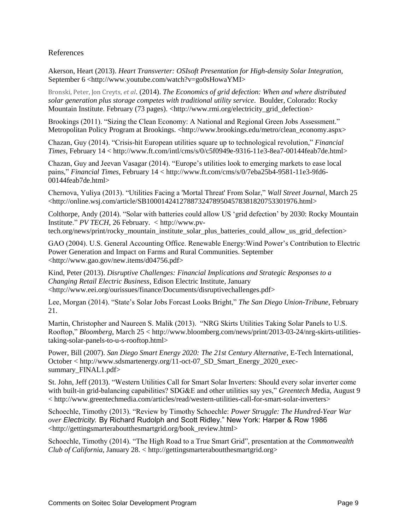#### References

Akerson, Heart (2013). *Heart Transverter: OSIsoft Presentation for High-density Solar Integration*, September 6 <http://www.youtube.com/watch?v=go0sHowaYMI>

Bronski, Peter, Jon Creyts, *et al*. (2014). *The Economics of grid defection: When and where distributed solar generation plus storage competes with traditional utility service*. Boulder, Colorado: Rocky Mountain Institute. February (73 pages). <http://www.rmi.org/electricity\_grid\_defection>

Brookings (2011). "Sizing the Clean Economy: A National and Regional Green Jobs Assessment." Metropolitan Policy Program at Brookings. <http://www.brookings.edu/metro/clean\_economy.aspx>

Chazan, Guy (2014). "Crisis-hit European utilities square up to technological revolution," *Financial Times*, February 14 < http://www.ft.com/intl/cms/s/0/c5f0949e-9316-11e3-8ea7-00144feab7de.html>

Chazan, Guy and Jeevan Vasagar (2014). "Europe's utilities look to emerging markets to ease local pains," *Financial Times*, February 14 < http://www.ft.com/cms/s/0/7eba25b4-9581-11e3-9fd6- 00144feab7de.html>

Chernova, Yuliya (2013). "Utilities Facing a 'Mortal Threat' From Solar," *Wall Street Journal*, March 25 <http://online.wsj.com/article/SB10001424127887324789504578381820753301976.html>

Colthorpe, Andy (2014). "Solar with batteries could allow US 'grid defection' by 2030: Rocky Mountain Institute." *PV TECH*, 26 February. < http://www.pv-

tech.org/news/print/rocky\_mountain\_institute\_solar\_plus\_batteries\_could\_allow\_us\_grid\_defection>

GAO (2004). U.S. General Accounting Office. Renewable Energy:Wind Power's Contribution to Electric Power Generation and Impact on Farms and Rural Communities. September <http://www.gao.gov/new.items/d04756.pdf>

Kind, Peter (2013). *Disruptive Challenges: Financial Implications and Strategic Responses to a Changing Retail Electric Business*, Edison Electric Institute, January <http://www.eei.org/ourissues/finance/Documents/disruptivechallenges.pdf>

Lee, Morgan (2014). "State's Solar Jobs Forcast Looks Bright," *The San Diego Union-Tribune*, February 21.

Martin, Christopher and Naureen S. Malik (2013). "NRG Skirts Utilities Taking Solar Panels to U.S. Rooftop," *Bloomberg*, March 25 < http://www.bloomberg.com/news/print/2013-03-24/nrg-skirts-utilitiestaking-solar-panels-to-u-s-rooftop.html>

Power, Bill (2007). *San Diego Smart Energy 2020: The 21st Century Alternative*, E-Tech International, October < http://www.sdsmartenergy.org/11-oct-07\_SD\_Smart\_Energy\_2020\_execsummary\_FINAL1.pdf>

St. John, Jeff (2013). "Western Utilities Call for Smart Solar Inverters: Should every solar inverter come with built-in grid-balancing capabilities? SDG&E and other utilities say yes," *Greentech M*edia, August 9 < http://www.greentechmedia.com/articles/read/western-utilities-call-for-smart-solar-inverters>

Schoechle, Timothy (2013). "Review by Timothy Schoechle: *Power Struggle: The Hundred-Year War over Electricity.* By Richard Rudolph and Scott Ridley." New York: Harper & Row 1986 <http://gettingsmarteraboutthesmartgrid.org/book\_review.html>

Schoechle, Timothy (2014). "The High Road to a True Smart Grid", presentation at the *Commonwealth Club of California*, January 28. < http://gettingsmarteraboutthesmartgrid.org>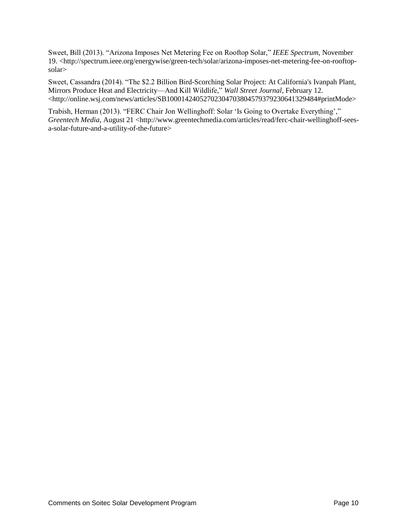Sweet, Bill (2013). "Arizona Imposes Net Metering Fee on Rooftop Solar," *IEEE Spectrum*, November 19. <http://spectrum.ieee.org/energywise/green-tech/solar/arizona-imposes-net-metering-fee-on-rooftopsolar>

Sweet, Cassandra (2014). "The \$2.2 Billion Bird-Scorching Solar Project: At California's Ivanpah Plant, Mirrors Produce Heat and Electricity—And Kill Wildlife," *Wall Street Journal*, February 12. <http://online.wsj.com/news/articles/SB10001424052702304703804579379230641329484#printMode>

Trabish, Herman (2013). "FERC Chair Jon Wellinghoff: Solar 'Is Going to Overtake Everything'," *Greentech Media*, August 21 <http://www.greentechmedia.com/articles/read/ferc-chair-wellinghoff-seesa-solar-future-and-a-utility-of-the-future>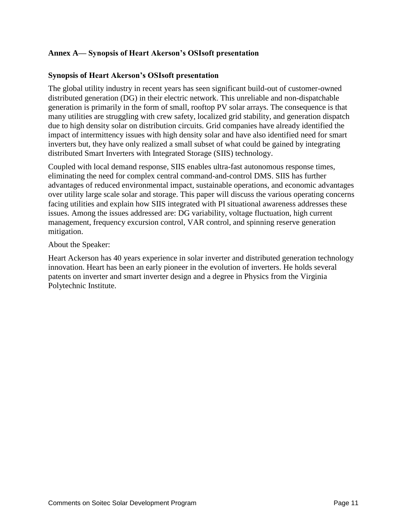### **Annex A— Synopsis of Heart Akerson's OSIsoft presentation**

#### **Synopsis of Heart Akerson's OSIsoft presentation**

The global utility industry in recent years has seen significant build-out of customer-owned distributed generation (DG) in their electric network. This unreliable and non-dispatchable generation is primarily in the form of small, rooftop PV solar arrays. The consequence is that many utilities are struggling with crew safety, localized grid stability, and generation dispatch due to high density solar on distribution circuits. Grid companies have already identified the impact of intermittency issues with high density solar and have also identified need for smart inverters but, they have only realized a small subset of what could be gained by integrating distributed Smart Inverters with Integrated Storage (SIIS) technology.

Coupled with local demand response, SIIS enables ultra-fast autonomous response times, eliminating the need for complex central command-and-control DMS. SIIS has further advantages of reduced environmental impact, sustainable operations, and economic advantages over utility large scale solar and storage. This paper will discuss the various operating concerns facing utilities and explain how SIIS integrated with PI situational awareness addresses these issues. Among the issues addressed are: DG variability, voltage fluctuation, high current management, frequency excursion control, VAR control, and spinning reserve generation mitigation.

#### About the Speaker:

Heart Ackerson has 40 years experience in solar inverter and distributed generation technology innovation. Heart has been an early pioneer in the evolution of inverters. He holds several patents on inverter and smart inverter design and a degree in Physics from the Virginia Polytechnic Institute.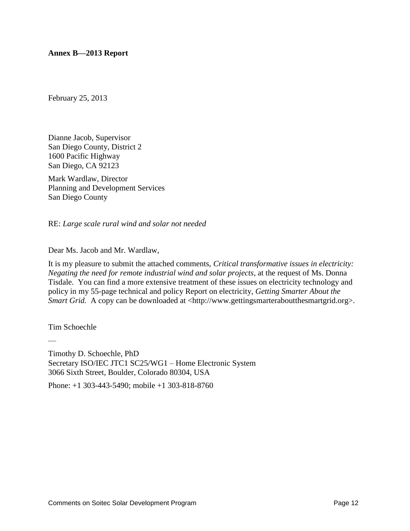**Annex B—2013 Report**

February 25, 2013

Dianne Jacob, Supervisor San Diego County, District 2 1600 Pacific Highway San Diego, CA 92123

Mark Wardlaw, Director Planning and Development Services San Diego County

RE: *Large scale rural wind and solar not needed*

#### Dear Ms. Jacob and Mr. Wardlaw,

It is my pleasure to submit the attached comments, *Critical transformative issues in electricity: Negating the need for remote industrial wind and solar projects*, at the request of Ms. Donna Tisdale. You can find a more extensive treatment of these issues on electricity technology and policy in my 55-page technical and policy Report on electricity, *Getting Smarter About the Smart Grid.* A copy can be downloaded at <http://www.gettingsmarteraboutthesmartgrid.org>.

Tim Schoechle

—

Timothy D. Schoechle, PhD Secretary ISO/IEC JTC1 SC25/WG1 – Home Electronic System 3066 Sixth Street, Boulder, Colorado 80304, USA

Phone: +1 303-443-5490; mobile +1 303-818-8760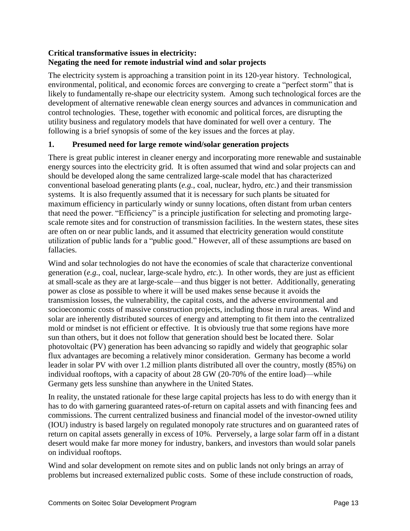# **Critical transformative issues in electricity: Negating the need for remote industrial wind and solar projects**

The electricity system is approaching a transition point in its 120-year history. Technological, environmental, political, and economic forces are converging to create a "perfect storm" that is likely to fundamentally re-shape our electricity system. Among such technological forces are the development of alternative renewable clean energy sources and advances in communication and control technologies. These, together with economic and political forces, are disrupting the utility business and regulatory models that have dominated for well over a century. The following is a brief synopsis of some of the key issues and the forces at play.

# **1. Presumed need for large remote wind/solar generation projects**

There is great public interest in cleaner energy and incorporating more renewable and sustainable energy sources into the electricity grid. It is often assumed that wind and solar projects can and should be developed along the same centralized large-scale model that has characterized conventional baseload generating plants (*e.g.*, coal, nuclear, hydro, *etc.*) and their transmission systems. It is also frequently assumed that it is necessary for such plants be situated for maximum efficiency in particularly windy or sunny locations, often distant from urban centers that need the power. "Efficiency" is a principle justification for selecting and promoting largescale remote sites and for construction of transmission facilities. In the western states, these sites are often on or near public lands, and it assumed that electricity generation would constitute utilization of public lands for a "public good." However, all of these assumptions are based on fallacies.

Wind and solar technologies do not have the economies of scale that characterize conventional generation (*e.g.*, coal, nuclear, large-scale hydro, *etc.*). In other words, they are just as efficient at small-scale as they are at large-scale—and thus bigger is not better. Additionally, generating power as close as possible to where it will be used makes sense because it avoids the transmission losses, the vulnerability, the capital costs, and the adverse environmental and socioeconomic costs of massive construction projects, including those in rural areas. Wind and solar are inherently distributed sources of energy and attempting to fit them into the centralized mold or mindset is not efficient or effective. It is obviously true that some regions have more sun than others, but it does not follow that generation should best be located there. Solar photovoltaic (PV) generation has been advancing so rapidly and widely that geographic solar flux advantages are becoming a relatively minor consideration. Germany has become a world leader in solar PV with over 1.2 million plants distributed all over the country, mostly (85%) on individual rooftops, with a capacity of about 28 GW (20-70% of the entire load)—while Germany gets less sunshine than anywhere in the United States.

In reality, the unstated rationale for these large capital projects has less to do with energy than it has to do with garnering guaranteed rates-of-return on capital assets and with financing fees and commissions. The current centralized business and financial model of the investor-owned utility (IOU) industry is based largely on regulated monopoly rate structures and on guaranteed rates of return on capital assets generally in excess of 10%. Perversely, a large solar farm off in a distant desert would make far more money for industry, bankers, and investors than would solar panels on individual rooftops.

Wind and solar development on remote sites and on public lands not only brings an array of problems but increased externalized public costs. Some of these include construction of roads,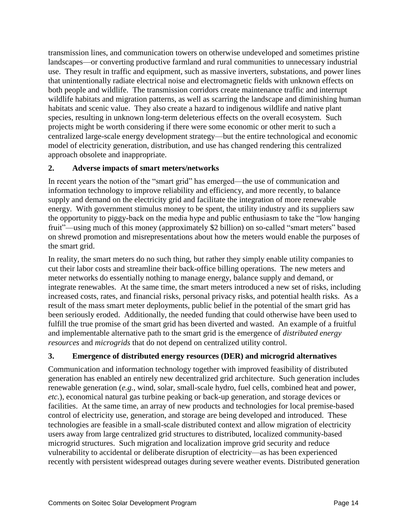transmission lines, and communication towers on otherwise undeveloped and sometimes pristine landscapes—or converting productive farmland and rural communities to unnecessary industrial use. They result in traffic and equipment, such as massive inverters, substations, and power lines that unintentionally radiate electrical noise and electromagnetic fields with unknown effects on both people and wildlife. The transmission corridors create maintenance traffic and interrupt wildlife habitats and migration patterns, as well as scarring the landscape and diminishing human habitats and scenic value. They also create a hazard to indigenous wildlife and native plant species, resulting in unknown long-term deleterious effects on the overall ecosystem. Such projects might be worth considering if there were some economic or other merit to such a centralized large-scale energy development strategy—but the entire technological and economic model of electricity generation, distribution, and use has changed rendering this centralized approach obsolete and inappropriate.

# **2. Adverse impacts of smart meters/networks**

In recent years the notion of the "smart grid" has emerged—the use of communication and information technology to improve reliability and efficiency, and more recently, to balance supply and demand on the electricity grid and facilitate the integration of more renewable energy. With government stimulus money to be spent, the utility industry and its suppliers saw the opportunity to piggy-back on the media hype and public enthusiasm to take the "low hanging fruit"—using much of this money (approximately \$2 billion) on so-called "smart meters" based on shrewd promotion and misrepresentations about how the meters would enable the purposes of the smart grid.

In reality, the smart meters do no such thing, but rather they simply enable utility companies to cut their labor costs and streamline their back-office billing operations. The new meters and meter networks do essentially nothing to manage energy, balance supply and demand, or integrate renewables. At the same time, the smart meters introduced a new set of risks, including increased costs, rates, and financial risks, personal privacy risks, and potential health risks. As a result of the mass smart meter deployments, public belief in the potential of the smart grid has been seriously eroded. Additionally, the needed funding that could otherwise have been used to fulfill the true promise of the smart grid has been diverted and wasted. An example of a fruitful and implementable alternative path to the smart grid is the emergence of *distributed energy resources* and *microgrids* that do not depend on centralized utility control.

# **3. Emergence of distributed energy resources (DER) and microgrid alternatives**

Communication and information technology together with improved feasibility of distributed generation has enabled an entirely new decentralized grid architecture. Such generation includes renewable generation (*e.g.*, wind, solar, small-scale hydro, fuel cells, combined heat and power, *etc.*), economical natural gas turbine peaking or back-up generation, and storage devices or facilities. At the same time, an array of new products and technologies for local premise-based control of electricity use, generation, and storage are being developed and introduced. These technologies are feasible in a small-scale distributed context and allow migration of electricity users away from large centralized grid structures to distributed, localized community-based microgrid structures. Such migration and localization improve grid security and reduce vulnerability to accidental or deliberate disruption of electricity—as has been experienced recently with persistent widespread outages during severe weather events. Distributed generation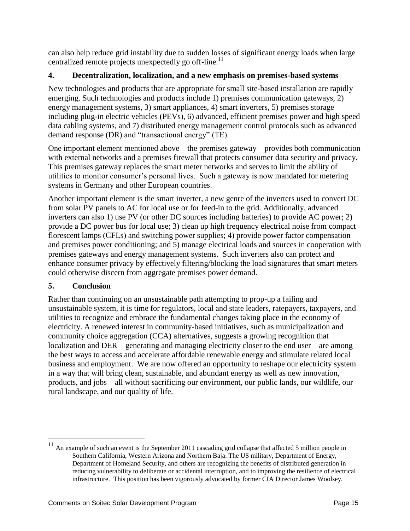can also help reduce grid instability due to sudden losses of significant energy loads when large centralized remote projects unexpectedly go off-line.<sup>11</sup>

# **4. Decentralization, localization, and a new emphasis on premises-based systems**

New technologies and products that are appropriate for small site-based installation are rapidly emerging. Such technologies and products include 1) premises communication gateways, 2) energy management systems, 3) smart appliances, 4) smart inverters, 5) premises storage including plug-in electric vehicles (PEVs), 6) advanced, efficient premises power and high speed data cabling systems, and 7) distributed energy management control protocols such as advanced demand response (DR) and "transactional energy" (TE).

One important element mentioned above—the premises gateway—provides both communication with external networks and a premises firewall that protects consumer data security and privacy. This premises gateway replaces the smart meter networks and serves to limit the ability of utilities to monitor consumer's personal lives. Such a gateway is now mandated for metering systems in Germany and other European countries.

Another important element is the smart inverter, a new genre of the inverters used to convert DC from solar PV panels to AC for local use or for feed-in to the grid. Additionally, advanced inverters can also 1) use PV (or other DC sources including batteries) to provide AC power; 2) provide a DC power bus for local use; 3) clean up high frequency electrical noise from compact florescent lamps (CFLs) and switching power supplies; 4) provide power factor compensation and premises power conditioning; and 5) manage electrical loads and sources in cooperation with premises gateways and energy management systems. Such inverters also can protect and enhance consumer privacy by effectively filtering/blocking the load signatures that smart meters could otherwise discern from aggregate premises power demand.

# **5. Conclusion**

 $\overline{a}$ 

Rather than continuing on an unsustainable path attempting to prop-up a failing and unsustainable system, it is time for regulators, local and state leaders, ratepayers, taxpayers, and utilities to recognize and embrace the fundamental changes taking place in the economy of electricity. A renewed interest in community-based initiatives, such as municipalization and community choice aggregation (CCA) alternatives, suggests a growing recognition that localization and DER—generating and managing electricity closer to the end user—are among the best ways to access and accelerate affordable renewable energy and stimulate related local business and employment. We are now offered an opportunity to reshape our electricity system in a way that will bring clean, sustainable, and abundant energy as well as new innovation, products, and jobs—all without sacrificing our environment, our public lands, our wildlife, our rural landscape, and our quality of life.

 $11$  An example of such an event is the September 2011 cascading grid collapse that affected 5 million people in Southern California, Western Arizona and Northern Baja. The US military, Department of Energy, Department of Homeland Security, and others are recognizing the benefits of distributed generation in reducing vulnerability to deliberate or accidental interruption, and to improving the resilience of electrical infrastructure. This position has been vigorously advocated by former CIA Director James Woolsey.